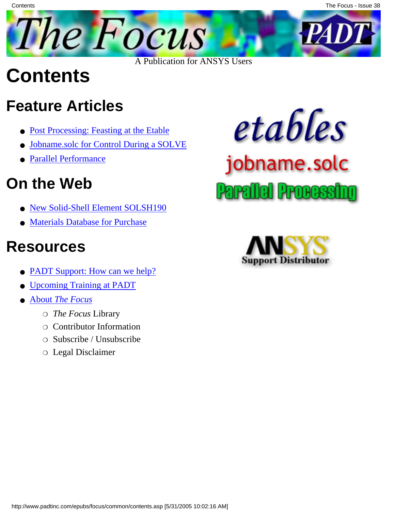

## **Contents**

**Contents** 

## **Feature Articles**

- [Post Processing: Feasting at the Etable](#page-1-0)
- [Jobname.solc for Control During a SOLVE](#page-6-0)
- **[Parallel Performance](#page-9-0)**

## **On the Web**

- [New Solid-Shell Element SOLSH190](http://www.padtinc.com/epubs/focus/2005/0038_0531/extra1.htm)
- [Materials Database for Purchase](http://www.padtinc.com/epubs/focus/2005/0038_0531/extra2.htm)

### **Resources**

- [PADT Support: How can we help?](http://www.padtinc.com/support)
- [Upcoming Training at PADT](#page-12-0)
- **About** *[The Focus](#page-13-0)* 
	- ❍ *The Focus* Library
	- ❍ Contributor Information
	- $\Omega$  Subscribe / Unsubscribe
	- ❍ Legal Disclaimer



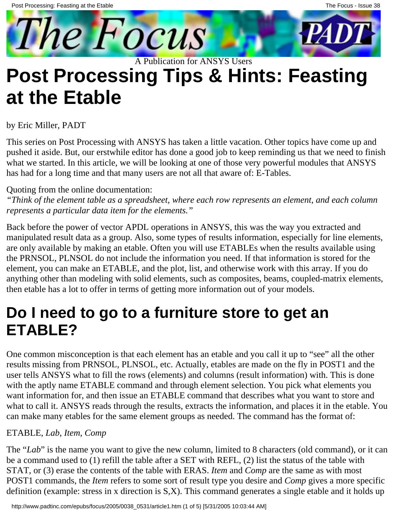<span id="page-1-0"></span>

### **Post Processing Tips & Hints: Feasting at the Etable** A Publication for ANSYS Users

### by Eric Miller, PADT

This series on Post Processing with ANSYS has taken a little vacation. Other topics have come up and pushed it aside. But, our erstwhile editor has done a good job to keep reminding us that we need to finish what we started. In this article, we will be looking at one of those very powerful modules that ANSYS has had for a long time and that many users are not all that aware of: E-Tables.

#### Quoting from the online documentation:

*"Think of the element table as a spreadsheet, where each row represents an element, and each column represents a particular data item for the elements."*

Back before the power of vector APDL operations in ANSYS, this was the way you extracted and manipulated result data as a group. Also, some types of results information, especially for line elements, are only available by making an etable. Often you will use ETABLEs when the results available using the PRNSOL, PLNSOL do not include the information you need. If that information is stored for the element, you can make an ETABLE, and the plot, list, and otherwise work with this array. If you do anything other than modeling with solid elements, such as composites, beams, coupled-matrix elements, then etable has a lot to offer in terms of getting more information out of your models.

### **Do I need to go to a furniture store to get an ETABLE?**

One common misconception is that each element has an etable and you call it up to "see" all the other results missing from PRNSOL, PLNSOL, etc. Actually, etables are made on the fly in POST1 and the user tells ANSYS what to fill the rows (elements) and columns (result information) with. This is done with the aptly name ETABLE command and through element selection. You pick what elements you want information for, and then issue an ETABLE command that describes what you want to store and what to call it. ANSYS reads through the results, extracts the information, and places it in the etable. You can make many etables for the same element groups as needed. The command has the format of:

#### ETABLE, *Lab*, *Item*, *Comp*

The "*Lab*" is the name you want to give the new column, limited to 8 characters (old command), or it can be a command used to (1) refill the table after a SET with REFL, (2) list the status of the table with STAT, or (3) erase the contents of the table with ERAS. *Item* and *Comp* are the same as with most POST1 commands, the *Item* refers to some sort of result type you desire and *Comp* gives a more specific definition (example: stress in x direction is S,X). This command generates a single etable and it holds up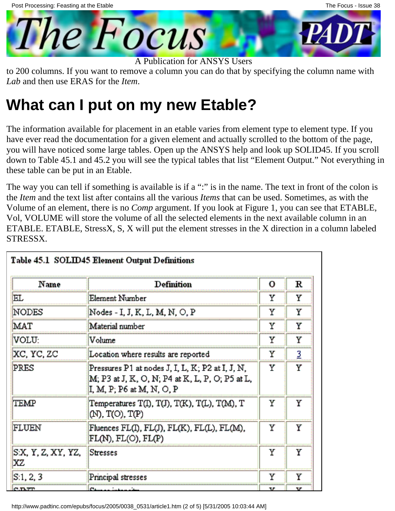



to 200 columns. If you want to remove a column you can do that by specifying the column name with *Lab* and then use ERAS for the *Item*.

### **What can I put on my new Etable?**

The information available for placement in an etable varies from element type to element type. If you have ever read the documentation for a given element and actually scrolled to the bottom of the page, you will have noticed some large tables. Open up the ANSYS help and look up SOLID45. If you scroll down to Table 45.1 and 45.2 you will see the typical tables that list "Element Output." Not everything in these table can be put in an Etable.

The way you can tell if something is available is if a ":" is in the name. The text in front of the colon is the *Item* and the text list after contains all the various *Items* that can be used. Sometimes, as with the Volume of an element, there is no *Comp* argument. If you look at Figure 1, you can see that ETABLE, Vol, VOLUME will store the volume of all the selected elements in the next available column in an ETABLE. ETABLE, StressX, S, X will put the element stresses in the X direction in a column labeled STRESSX.

| Name                     | Definition                                                                                                                       | о  | к |  |
|--------------------------|----------------------------------------------------------------------------------------------------------------------------------|----|---|--|
| EL                       | Element Number                                                                                                                   | Y  | Y |  |
| <b>NODES</b>             | Nodes - I, J, K, L, M, N, O, P                                                                                                   | Υ  | Y |  |
| MAT                      | Material number                                                                                                                  | Υ  | Υ |  |
| VOLU:                    | Volume                                                                                                                           | Υ  | Y |  |
| XC, YC, ZC               | Location where results are reported                                                                                              | Υ  | 3 |  |
| PRES                     | Pressures P1 at nodes J, I, L, K; P2 at I, J, N,<br>M; P3 at J, K, O, N; P4 at K, L, P, O; P5 at L,<br>I, M, P, P6 at M, N, O, P | Y  | Y |  |
| TEMP                     | Temperatures T(I), T(J), T(K), T(L), T(M), T<br>$(\mathbb{N}), \mathbb{T}(\mathbb{O}), \mathbb{T}(\mathbb{P})$                   | Υ  | Y |  |
| FLUEN                    | Fluences FL(I), FL(J), FL(K), FL(L), FL(M),<br>$FL(N)$ , $FL(O)$ , $FL(P)$                                                       | Υ  | Y |  |
| S:X, Y, Z, XY, YZ,<br>xz | <b>Stresses</b>                                                                                                                  | Υ  | Y |  |
| S:1, 2, 3                | Principal stresses                                                                                                               | Υ  | Y |  |
| <b>C.D.TT</b>            | Change in Links of the                                                                                                           | ٦r | v |  |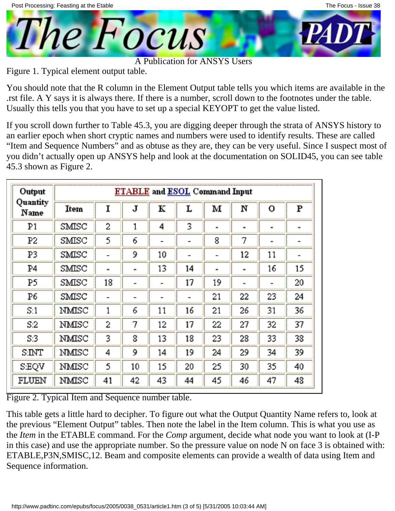

Figure 1. Typical element output table.

You should note that the R column in the Element Output table tells you which items are available in the .rst file. A Y says it is always there. If there is a number, scroll down to the footnotes under the table. Usually this tells you that you have to set up a special KEYOPT to get the value listed.

If you scroll down further to Table 45.3, you are digging deeper through the strata of ANSYS history to an earlier epoch when short cryptic names and numbers were used to identify results. These are called "Item and Sequence Numbers" and as obtuse as they are, they can be very useful. Since I suspect most of you didn't actually open up ANSYS help and look at the documentation on SOLID45, you can see table 45.3 shown as Figure 2.

| Output           | <b>ETABLE</b> and <b>ESOL</b> Command Input |    |    |                          |    |    |                          |    |    |
|------------------|---------------------------------------------|----|----|--------------------------|----|----|--------------------------|----|----|
| Quantity<br>Name | Item                                        | 1  | J  | к                        | L  | м  | N                        | О  | P  |
| P1               | SMISC                                       | 2  | 1  | 4                        | 3  |    | $\blacksquare$           | ×. | ۰  |
| P2               | SMISC                                       | 5  | 6  |                          |    | 8  | 7                        |    | -  |
| P3               | SMISC                                       |    | 9  | 10                       |    |    | 12                       | 11 | -  |
| P4               | SMISC                                       |    | ۰  | 13                       | 14 |    | ٠                        | 16 | 15 |
| P5               | SMISC                                       | 18 | -  | $\overline{\phantom{a}}$ | 17 | 19 | $\overline{\phantom{0}}$ |    | 20 |
| P6               | SMISC                                       | ÷  | ×, | ۰                        | ÷  | 21 | 22                       | 23 | 24 |
| S.1              | NMISC                                       | 1  | 6  | 11                       | 16 | 21 | 26                       | 31 | 36 |
| S2               | NMISC                                       | 2  | 7  | 12                       | 17 | 22 | 27                       | 32 | 37 |
| S:3              | NMISC                                       | 3  | 8  | 13                       | 18 | 23 | 28                       | 33 | 38 |
| SINT             | NMISC                                       | 4  | 9  | 14                       | 19 | 24 | 29                       | 34 | 39 |
| <b>SEQV</b>      | NMISC                                       | 5  | 10 | 15                       | 20 | 25 | 30                       | 35 | 40 |
| FLUEN            | NMISC                                       | 41 | 42 | 43                       | 44 | 45 | 46                       | 47 | 48 |

Figure 2. Typical Item and Sequence number table.

This table gets a little hard to decipher. To figure out what the Output Quantity Name refers to, look at the previous "Element Output" tables. Then note the label in the Item column. This is what you use as the *Item* in the ETABLE command. For the *Comp* argument, decide what node you want to look at (I-P in this case) and use the appropriate number. So the pressure value on node N on face 3 is obtained with: ETABLE,P3N,SMISC,12. Beam and composite elements can provide a wealth of data using Item and Sequence information.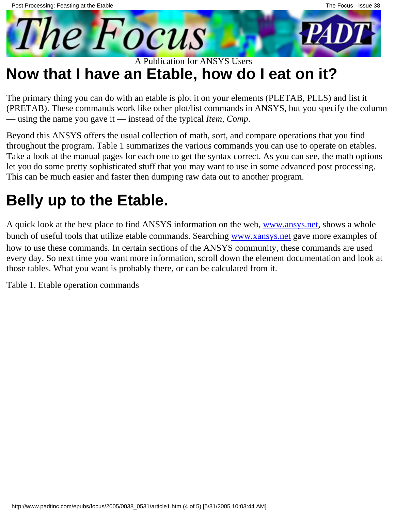

## **Now that I have an Etable, how do I eat on it?**

The primary thing you can do with an etable is plot it on your elements (PLETAB, PLLS) and list it (PRETAB). These commands work like other plot/list commands in ANSYS, but you specify the column — using the name you gave it — instead of the typical *Item*, *Comp*.

Beyond this ANSYS offers the usual collection of math, sort, and compare operations that you find throughout the program. Table 1 summarizes the various commands you can use to operate on etables. Take a look at the manual pages for each one to get the syntax correct. As you can see, the math options let you do some pretty sophisticated stuff that you may want to use in some advanced post processing. This can be much easier and faster then dumping raw data out to another program.

## **Belly up to the Etable.**

A quick look at the best place to find ANSYS information on the web, [www.ansys.net](http://www.ansys.net/), shows a whole bunch of useful tools that utilize etable commands. Searching [www.xansys.net](http://www.xansys.net/) gave more examples of how to use these commands. In certain sections of the ANSYS community, these commands are used every day. So next time you want more information, scroll down the element documentation and look at those tables. What you want is probably there, or can be calculated from it.

Table 1. Etable operation commands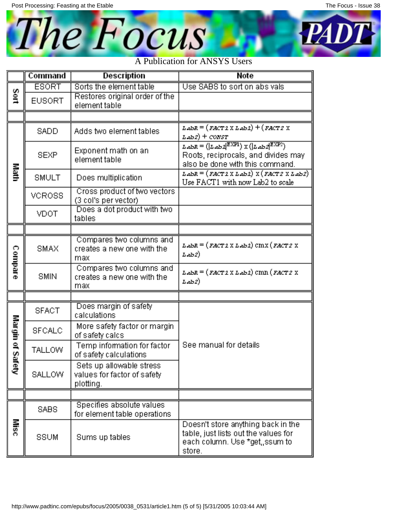

|                  | Command       | Description                                                          | <b>Note</b>                                                                                                                                                                                                                                                                                              |
|------------------|---------------|----------------------------------------------------------------------|----------------------------------------------------------------------------------------------------------------------------------------------------------------------------------------------------------------------------------------------------------------------------------------------------------|
|                  | <b>ESORT</b>  | Sorts the element table                                              | Use SABS to sort on abs vals                                                                                                                                                                                                                                                                             |
| Sort             | <b>EUSORT</b> | Restores original order of the<br>element table                      |                                                                                                                                                                                                                                                                                                          |
|                  |               |                                                                      |                                                                                                                                                                                                                                                                                                          |
|                  | <b>SADD</b>   | Adds two element tables                                              | $\mathit{L}\text{-}\mathit{z}\text{-}\mathit{z} = (\mathit{F}\text{-}\mathit{A}\text{-}\mathit{T}\text{-}\mathit{2}\times\mathit{L}\text{-}\mathit{z}\text{-}\mathit{z}) + (\mathit{F}\text{-}\mathit{A}\text{-}\mathit{T}\text{-}\mathit{Z}\times\mathit{L}\text{-}\mathit{z})$<br><u>ьяь2) + сонят</u> |
|                  | <b>SEXP</b>   | Exponent math on an<br>element table                                 | $L$ abR = $( L$ ab $2^{\text{EXP1}})$ X $( L$ ab $2^{\text{EXP2}})$<br>Roots, reciprocals, and divides may<br>also be done with this command.                                                                                                                                                            |
| Math             | <b>SMULT</b>  | Does multiplication                                                  | $L$ abR = $(FACT2 X L$ ab $2)$ X $(FACT2 X L$ ab $2)$<br>Use FACT1 with now Lab2 to scale                                                                                                                                                                                                                |
|                  | VCROSS        | Cross product of two vectors<br>(3 col's per vector)                 |                                                                                                                                                                                                                                                                                                          |
|                  | VDOT          | Does a dot product with two<br>tables                                |                                                                                                                                                                                                                                                                                                          |
|                  |               |                                                                      |                                                                                                                                                                                                                                                                                                          |
| <b>Compare</b>   | SMAX          | Compares two columns and<br>creates a new one with the<br>max        | LabR = (FACT 1 X Lab 1) CMX (FACT 2 X<br>Lab2).                                                                                                                                                                                                                                                          |
|                  | <b>SMIN</b>   | Compares two columns and<br>creates a new one with the<br>max        | LabR = (FACT 1 X Lab 1) CMN (FACT 2 X<br>Lab2)                                                                                                                                                                                                                                                           |
|                  |               |                                                                      |                                                                                                                                                                                                                                                                                                          |
|                  | <b>SFACT</b>  | Does margin of safety<br>calculations                                |                                                                                                                                                                                                                                                                                                          |
|                  | <b>SFCALC</b> | More safety factor or margin<br>of safety calcs                      |                                                                                                                                                                                                                                                                                                          |
| Margin of Safety | TALLOW        | Temp information for factor<br>of safety calculations                | See manual for details                                                                                                                                                                                                                                                                                   |
|                  | <b>SALLOW</b> | Sets up allowable stress<br>values for factor of safety<br>plotting. |                                                                                                                                                                                                                                                                                                          |
|                  |               |                                                                      |                                                                                                                                                                                                                                                                                                          |
|                  | SABS          | Specifies absolute values<br>for element table operations            |                                                                                                                                                                                                                                                                                                          |
| Misc             | SSUM          | Sums up tables                                                       | Doesn't store anything back in the<br>table, just lists out the values for<br>each column. Use *get, ssum to<br>store.                                                                                                                                                                                   |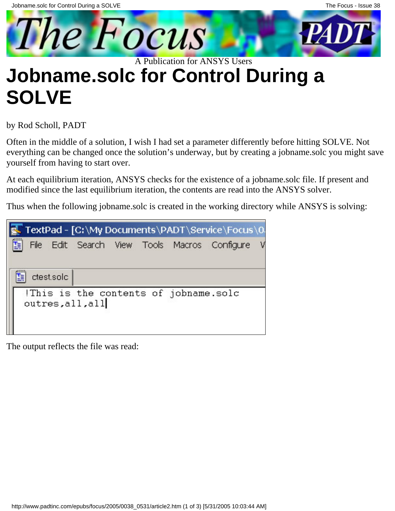<span id="page-6-0"></span>

## **Jobname.solc for Control During a SOLVE**

by Rod Scholl, PADT

Often in the middle of a solution, I wish I had set a parameter differently before hitting SOLVE. Not everything can be changed once the solution's underway, but by creating a jobname.solc you might save yourself from having to start over.

At each equilibrium iteration, ANSYS checks for the existence of a jobname.solc file. If present and modified since the last equilibrium iteration, the contents are read into the ANSYS solver.

Thus when the following jobname.solc is created in the working directory while ANSYS is solving:

|   |            |                  |  |                                      | , TextPad - [C:\My Documents\PADT\Service\Focus\0 |  |
|---|------------|------------------|--|--------------------------------------|---------------------------------------------------|--|
| Ë |            |                  |  |                                      | File Edit Search View Tools Macros Configure      |  |
|   |            |                  |  |                                      |                                                   |  |
|   |            |                  |  |                                      |                                                   |  |
|   | ctest.solc |                  |  |                                      |                                                   |  |
|   |            |                  |  | This is the contents of jobname.solc |                                                   |  |
|   |            | outres, all, all |  |                                      |                                                   |  |
|   |            |                  |  |                                      |                                                   |  |
|   |            |                  |  |                                      |                                                   |  |

The output reflects the file was read: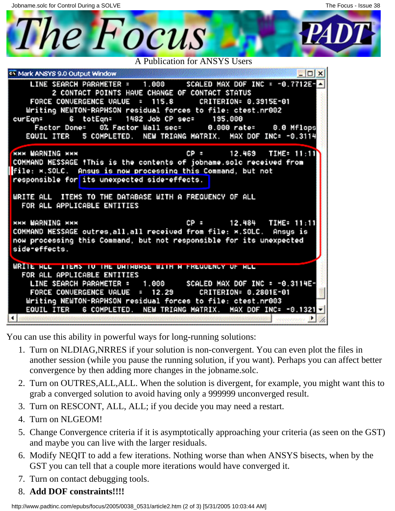Jobname.solc for Control During a SOLVE

The Focus A Publication for ANSYS Users ex Mark ANSYS 9.0 Output Window  $\times$ LINE SEARCH PARAMETER = 1.000 SCALED MAX DOF INC = -0.7712E-**2 CONTACT POINTS HAVE CHANGE OF CONTACT STATUS** FORCE CONVERGENCE UALUE = 115.8 CRITERION= 0.3915E-01 Writing NEWTON-RAPHSON residual forces to file: ctest.nr002 1482 Job CP sec= curEgn= totEqn= 195.000 6 0% Factor Wall sec= **Factor Done=** 0.000 rate= 0.0 Mflops EQUIL ITER 5 COMPLETED. NEW TRIANG MATRIX. MAX DOF INC= -0.3114 **NHK WARNING NXX** cp = 12.469 TIME= 11:11 COMMAND MESSAGE IThis is the contents of jobname.solc received from file: \*. SOLC. Ansus is now processing this Command, but not responsible for its unexpected side-effects. WRITE ALL ITEMS TO THE DATABASE WITH A FREQUENCY OF ALL FOR ALL APPLICABLE ENTITIES **XXX WARNING XXX** 12.484 TIME= 11:11 COMMAND MESSAGE outres, all, all received from file: \*. SOLC. Ansus is now processing this Command, but not responsible for its unexpected side-effects. WRITE HLL ITEMS TO THE UNTHBHSE WITH HEFKEUDENCY OF HLL FOR ALL APPLICABLE ENTITIES LINE SEARCH PARAMETER = 1.000 SCALED MAX DOF INC = -0.3114E-FORCE CONVERGENCE UALUE  $= 12.29$ CRITERION= 0.2801E-01 Writing NEWTON-RAPHSON residual forces to file: ctest.nr003 EQUIL ITER 6 COMPLETED. NEW TRIANG MATRIX. MAX DOF INC= -0.1321 Ŀ.

You can use this ability in powerful ways for long-running solutions:

- 1. Turn on NLDIAG, NRRES if your solution is non-convergent. You can even plot the files in another session (while you pause the running solution, if you want). Perhaps you can affect better convergence by then adding more changes in the jobname.solc.
- 2. Turn on OUTRES, ALL, ALL. When the solution is divergent, for example, you might want this to grab a converged solution to avoid having only a 999999 unconverged result.
- 3. Turn on RESCONT, ALL, ALL; if you decide you may need a restart.
- 4. Turn on NLGEOM!
- 5. Change Convergence criteria if it is asymptotically approaching your criteria (as seen on the GST) and maybe you can live with the larger residuals.
- 6. Modify NEQIT to add a few iterations. Nothing worse than when ANSYS bisects, when by the GST you can tell that a couple more iterations would have converged it.
- 7. Turn on contact debugging tools.
- 8. **Add DOF constraints!!!!**

http://www.padtinc.com/epubs/focus/2005/0038\_0531/article2.htm (2 of 3) [5/31/2005 10:03:44 AM]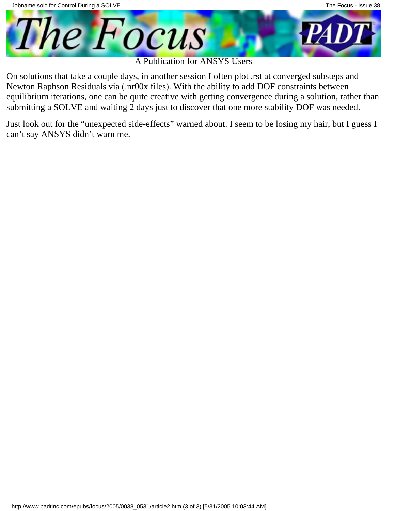

On solutions that take a couple days, in another session I often plot .rst at converged substeps and Newton Raphson Residuals via (.nr00x files). With the ability to add DOF constraints between equilibrium iterations, one can be quite creative with getting convergence during a solution, rather than submitting a SOLVE and waiting 2 days just to discover that one more stability DOF was needed.

Just look out for the "unexpected side-effects" warned about. I seem to be losing my hair, but I guess I can't say ANSYS didn't warn me.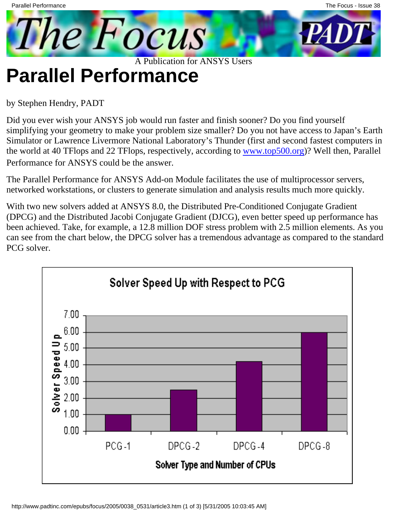## <span id="page-9-0"></span>**Parallel Performance**

by Stephen Hendry, PADT

Did you ever wish your ANSYS job would run faster and finish sooner? Do you find yourself simplifying your geometry to make your problem size smaller? Do you not have access to Japan's Earth Simulator or Lawrence Livermore National Laboratory's Thunder (first and second fastest computers in the world at 40 TFlops and 22 TFlops, respectively, according to [www.top500.org\)](http://www.top500.org/)? Well then, Parallel Performance for ANSYS could be the answer.

The Parallel Performance for ANSYS Add-on Module facilitates the use of multiprocessor servers, networked workstations, or clusters to generate simulation and analysis results much more quickly.

With two new solvers added at ANSYS 8.0, the Distributed Pre-Conditioned Conjugate Gradient (DPCG) and the Distributed Jacobi Conjugate Gradient (DJCG), even better speed up performance has been achieved. Take, for example, a 12.8 million DOF stress problem with 2.5 million elements. As you can see from the chart below, the DPCG solver has a tremendous advantage as compared to the standard PCG solver.

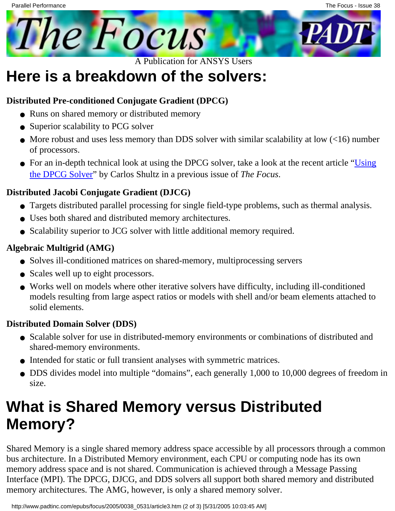

## **Here is a breakdown of the solvers:**

### **Distributed Pre-conditioned Conjugate Gradient (DPCG)**

- Runs on shared memory or distributed memory
- Superior scalability to PCG solver
- More robust and uses less memory than DDS solver with similar scalability at low (<16) number of processors.
- For an in-depth technical look at using the DPCG solver, take a look at the recent article "[Using](http://www.padtinc.com/epubs/focus/common/focus.asp?I=30&P=article1.htm) [the DPCG Solver"](http://www.padtinc.com/epubs/focus/common/focus.asp?I=30&P=article1.htm) by Carlos Shultz in a previous issue of *The Focus*.

### **Distributed Jacobi Conjugate Gradient (DJCG)**

- Targets distributed parallel processing for single field-type problems, such as thermal analysis.
- Uses both shared and distributed memory architectures.
- Scalability superior to JCG solver with little additional memory required.

### **Algebraic Multigrid (AMG)**

- Solves ill-conditioned matrices on shared-memory, multiprocessing servers
- Scales well up to eight processors.
- Works well on models where other iterative solvers have difficulty, including ill-conditioned models resulting from large aspect ratios or models with shell and/or beam elements attached to solid elements.

### **Distributed Domain Solver (DDS)**

- Scalable solver for use in distributed-memory environments or combinations of distributed and shared-memory environments.
- Intended for static or full transient analyses with symmetric matrices.
- DDS divides model into multiple "domains", each generally 1,000 to 10,000 degrees of freedom in size.

## **What is Shared Memory versus Distributed Memory?**

Shared Memory is a single shared memory address space accessible by all processors through a common bus architecture. In a Distributed Memory environment, each CPU or computing node has its own memory address space and is not shared. Communication is achieved through a Message Passing Interface (MPI). The DPCG, DJCG, and DDS solvers all support both shared memory and distributed memory architectures. The AMG, however, is only a shared memory solver.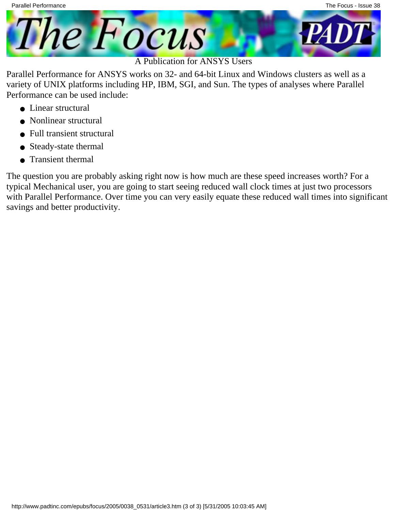

Parallel Performance for ANSYS works on 32- and 64-bit Linux and Windows clusters as well as a variety of UNIX platforms including HP, IBM, SGI, and Sun. The types of analyses where Parallel Performance can be used include:

- Linear structural
- Nonlinear structural
- Full transient structural
- Steady-state thermal
- Transient thermal

The question you are probably asking right now is how much are these speed increases worth? For a typical Mechanical user, you are going to start seeing reduced wall clock times at just two processors with Parallel Performance. Over time you can very easily equate these reduced wall times into significant savings and better productivity.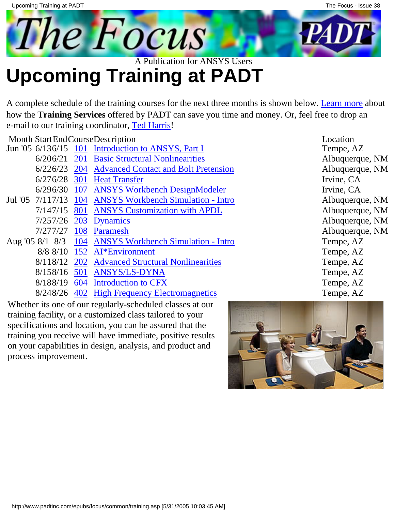<span id="page-12-0"></span>

# **Upcoming Training at PADT**

A complete schedule of the training courses for the next three months is shown below. [Learn more](http://www.padtinc.com/support/training/default.asp) about how the **Training Services** offered by PADT can save you time and money. Or, feel free to drop an e-mail to our training coordinator, [Ted Harris!](mailto:ted.harris@padtinc.com)

Month StartEndCourseDescription Location Location

|  | Jun '05 6/136/15 101 Introduction to ANSYS, Part I      | Tempe, AZ             |
|--|---------------------------------------------------------|-----------------------|
|  | 6/206/21 201 Basic Structural Nonlinearities            | Albuquerq             |
|  | 6/226/23 204 Advanced Contact and Bolt Pretension       | Albuquerq             |
|  | 6/276/28 301 Heat Transfer                              | Irvine, CA            |
|  | 6/296/30 107 ANSYS Workbench DesignModeler              | Irvine, CA            |
|  | Jul '05 7/117/13 104 ANSYS Workbench Simulation - Intro | Albuquerq             |
|  | 7/147/15 801 ANSYS Customization with APDL              | Albuquerq             |
|  | 7/257/26 203 Dynamics                                   | Albuquerq             |
|  | 7/277/27 108 Paramesh                                   | Albuquerq             |
|  | Aug '05 8/1 8/3 104 ANSYS Workbench Simulation - Intro  | Tempe, A              |
|  | $8/8$ $8/10$ 152 AI*Environment                         | Tempe, AZ             |
|  | 8/118/12 202 Advanced Structural Nonlinearities         | Tempe, A <sub>2</sub> |
|  | 8/158/16 501 ANSYS/LS-DYNA                              | Tempe, A              |
|  | 8/188/19 604 Introduction to CFX                        | Tempe, AZ             |

8/248/26 [402](http://www.padtinc.com/support/training/course.asp?c=402) [High Frequency Electromagnetics](http://www.padtinc.com/support/training/course.asp?c=402) Tempe, AZ

Whether it s one of our regularly-scheduled classes at our training facility, or a customized class tailored to your specifications and location, you can be assured that the training you receive will have immediate, positive results on your capabilities in design, analysis, and product and process improvement.

Tempe, AZ Albuquerque, NM Albuquerque, NM Albuquerque, NM Albuquerque, NM Albuquerque, NM Albuquerque, NM Tempe, AZ Tempe, AZ Tempe, AZ Tempe, AZ Tempe, AZ